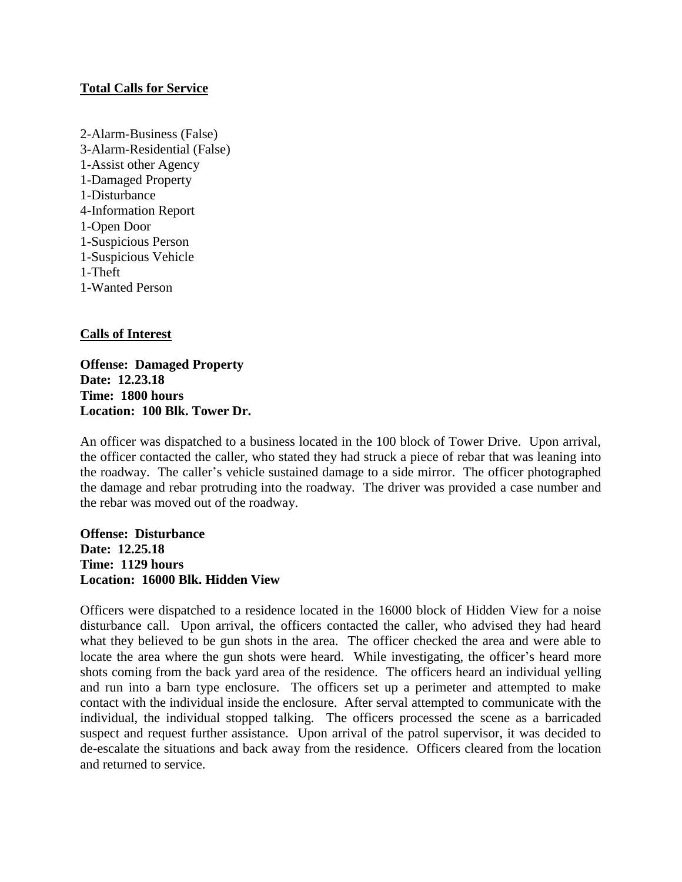### **Total Calls for Service**

2-Alarm-Business (False) 3-Alarm-Residential (False) 1-Assist other Agency 1-Damaged Property 1-Disturbance 4-Information Report 1-Open Door 1-Suspicious Person 1-Suspicious Vehicle 1-Theft 1**-**Wanted Person

# **Calls of Interest**

**Offense: Damaged Property Date: 12.23.18 Time: 1800 hours Location: 100 Blk. Tower Dr.**

An officer was dispatched to a business located in the 100 block of Tower Drive. Upon arrival, the officer contacted the caller, who stated they had struck a piece of rebar that was leaning into the roadway. The caller's vehicle sustained damage to a side mirror. The officer photographed the damage and rebar protruding into the roadway. The driver was provided a case number and the rebar was moved out of the roadway.

**Offense: Disturbance Date: 12.25.18 Time: 1129 hours Location: 16000 Blk. Hidden View**

Officers were dispatched to a residence located in the 16000 block of Hidden View for a noise disturbance call. Upon arrival, the officers contacted the caller, who advised they had heard what they believed to be gun shots in the area. The officer checked the area and were able to locate the area where the gun shots were heard. While investigating, the officer's heard more shots coming from the back yard area of the residence. The officers heard an individual yelling and run into a barn type enclosure. The officers set up a perimeter and attempted to make contact with the individual inside the enclosure. After serval attempted to communicate with the individual, the individual stopped talking. The officers processed the scene as a barricaded suspect and request further assistance. Upon arrival of the patrol supervisor, it was decided to de-escalate the situations and back away from the residence. Officers cleared from the location and returned to service.